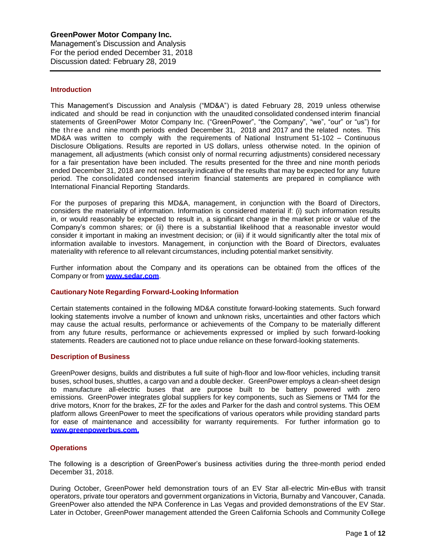# **Introduction**

This Management's Discussion and Analysis ("MD&A") is dated February 28, 2019 unless otherwise indicated and should be read in conjunction with the unaudited consolidated condensed interim financial statements of GreenPower Motor Company Inc. ("GreenPower", "the Company", "we", "our" or "us") for the three and nine month periods ended December 31, 2018 and 2017 and the related notes. This MD&A was written to comply with the requirements of National Instrument 51-102 – Continuous Disclosure Obligations. Results are reported in US dollars, unless otherwise noted. In the opinion of management, all adjustments (which consist only of normal recurring adjustments) considered necessary for a fair presentation have been included. The results presented for the three and nine month periods ended December 31, 2018 are not necessarily indicative of the results that may be expected for any future period. The consolidated condensed interim financial statements are prepared in compliance with International Financial Reporting Standards.

For the purposes of preparing this MD&A, management, in conjunction with the Board of Directors, considers the materiality of information. Information is considered material if: (i) such information results in, or would reasonably be expected to result in, a significant change in the market price or value of the Company's common shares; or (ii) there is a substantial likelihood that a reasonable investor would consider it important in making an investment decision; or (iii) if it would significantly alter the total mix of information available to investors. Management, in conjunction with the Board of Directors, evaluates materiality with reference to all relevant circumstances, including potential market sensitivity.

Further information about the Company and its operations can be obtained from the offices of the Company or from **[www.sedar.com](http://www.sedar.com/)**.

# **Cautionary Note Regarding Forward-Looking Information**

Certain statements contained in the following MD&A constitute forward-looking statements. Such forward looking statements involve a number of known and unknown risks, uncertainties and other factors which may cause the actual results, performance or achievements of the Company to be materially different from any future results, performance or achievements expressed or implied by such forward-looking statements. Readers are cautioned not to place undue reliance on these forward-looking statements.

#### **Description of Business**

GreenPower designs, builds and distributes a full suite of high-floor and low-floor vehicles, including transit buses, school buses, shuttles, a cargo van and a double decker. GreenPower employs a clean-sheet design to manufacture all-electric buses that are purpose built to be battery powered with zero emissions. GreenPower integrates global suppliers for key components, such as Siemens or TM4 for the drive motors, Knorr for the brakes, ZF for the axles and Parker for the dash and control systems. This OEM platform allows GreenPower to meet the specifications of various operators while providing standard parts for ease of maintenance and accessibility for warranty requirements. For further information go to **[www.greenpowerbus.com.](http://www.greenpowerbus.com/)**

# **Operations**

 The following is a description of GreenPower's business activities during the three-month period ended December 31, 2018.

During October, GreenPower held demonstration tours of an EV Star all-electric Min-eBus with transit operators, private tour operators and government organizations in Victoria, Burnaby and Vancouver, Canada. GreenPower also attended the NPA Conference in Las Vegas and provided demonstrations of the EV Star. Later in October, GreenPower management attended the Green California Schools and Community College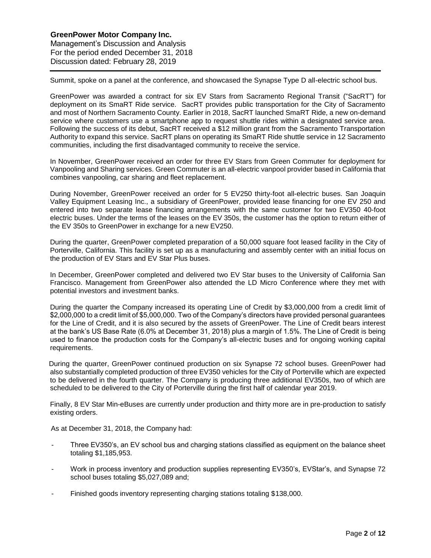Summit, spoke on a panel at the conference, and showcased the Synapse Type D all-electric school bus.

GreenPower was awarded a contract for six EV Stars from Sacramento Regional Transit ("SacRT") for deployment on its SmaRT Ride service. SacRT provides public transportation for the City of Sacramento and most of Northern Sacramento County. Earlier in 2018, SacRT launched SmaRT Ride, a new on-demand service where customers use a smartphone app to request shuttle rides within a designated service area. Following the success of its debut, SacRT received a \$12 million grant from the Sacramento Transportation Authority to expand this service. SacRT plans on operating its SmaRT Ride shuttle service in 12 Sacramento communities, including the first disadvantaged community to receive the service.

In November, GreenPower received an order for three EV Stars from Green Commuter for deployment for Vanpooling and Sharing services. Green Commuter is an all-electric vanpool provider based in California that combines vanpooling, car sharing and fleet replacement.

During November, GreenPower received an order for 5 EV250 thirty-foot all-electric buses. San Joaquin Valley Equipment Leasing Inc., a subsidiary of GreenPower, provided lease financing for one EV 250 and entered into two separate lease financing arrangements with the same customer for two EV350 40-foot electric buses. Under the terms of the leases on the EV 350s, the customer has the option to return either of the EV 350s to GreenPower in exchange for a new EV250.

During the quarter, GreenPower completed preparation of a 50,000 square foot leased facility in the City of Porterville, California. This facility is set up as a manufacturing and assembly center with an initial focus on the production of EV Stars and EV Star Plus buses.

In December, GreenPower completed and delivered two EV Star buses to the University of California San Francisco. Management from GreenPower also attended the LD Micro Conference where they met with potential investors and investment banks.

During the quarter the Company increased its operating Line of Credit by \$3,000,000 from a credit limit of \$2,000,000 to a credit limit of \$5,000,000. Two of the Company's directors have provided personal guarantees for the Line of Credit, and it is also secured by the assets of GreenPower. The Line of Credit bears interest at the bank's US Base Rate (6.0% at December 31, 2018) plus a margin of 1.5%. The Line of Credit is being used to finance the production costs for the Company's all-electric buses and for ongoing working capital requirements.

 During the quarter, GreenPower continued production on six Synapse 72 school buses. GreenPower had also substantially completed production of three EV350 vehicles for the City of Porterville which are expected to be delivered in the fourth quarter. The Company is producing three additional EV350s, two of which are scheduled to be delivered to the City of Porterville during the first half of calendar year 2019.

Finally, 8 EV Star Min-eBuses are currently under production and thirty more are in pre-production to satisfy existing orders.

As at December 31, 2018, the Company had:

- Three EV350's, an EV school bus and charging stations classified as equipment on the balance sheet totaling \$1,185,953.
- Work in process inventory and production supplies representing EV350's, EVStar's, and Synapse 72 school buses totaling \$5,027,089 and;
- Finished goods inventory representing charging stations totaling \$138,000.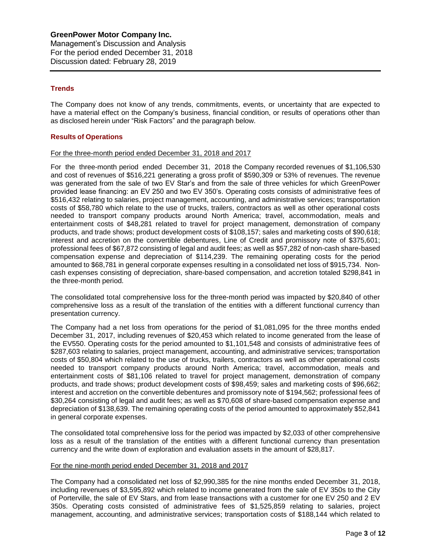# **Trends**

The Company does not know of any trends, commitments, events, or uncertainty that are expected to have a material effect on the Company's business, financial condition, or results of operations other than as disclosed herein under "Risk Factors" and the paragraph below.

# **Results of Operations**

### For the three-month period ended December 31, 2018 and 2017

For the three-month period ended December 31, 2018 the Company recorded revenues of \$1,106,530 and cost of revenues of \$516,221 generating a gross profit of \$590,309 or 53% of revenues. The revenue was generated from the sale of two EV Star's and from the sale of three vehicles for which GreenPower provided lease financing: an EV 250 and two EV 350's. Operating costs consists of administrative fees of \$516,432 relating to salaries, project management, accounting, and administrative services; transportation costs of \$58,780 which relate to the use of trucks, trailers, contractors as well as other operational costs needed to transport company products around North America; travel, accommodation, meals and entertainment costs of \$48,281 related to travel for project management, demonstration of company products, and trade shows; product development costs of \$108,157; sales and marketing costs of \$90,618; interest and accretion on the convertible debentures, Line of Credit and promissory note of \$375,601; professional fees of \$67,872 consisting of legal and audit fees; as well as \$57,282 of non-cash share-based compensation expense and depreciation of \$114,239. The remaining operating costs for the period amounted to \$68,781 in general corporate expenses resulting in a consolidated net loss of \$915,734. Noncash expenses consisting of depreciation, share-based compensation, and accretion totaled \$298,841 in the three-month period.

The consolidated total comprehensive loss for the three-month period was impacted by \$20,840 of other comprehensive loss as a result of the translation of the entities with a different functional currency than presentation currency.

The Company had a net loss from operations for the period of \$1,081,095 for the three months ended December 31, 2017, including revenues of \$20,453 which related to income generated from the lease of the EV550. Operating costs for the period amounted to \$1,101,548 and consists of administrative fees of \$287,603 relating to salaries, project management, accounting, and administrative services; transportation costs of \$50,804 which related to the use of trucks, trailers, contractors as well as other operational costs needed to transport company products around North America; travel, accommodation, meals and entertainment costs of \$81,106 related to travel for project management, demonstration of company products, and trade shows; product development costs of \$98,459; sales and marketing costs of \$96,662; interest and accretion on the convertible debentures and promissory note of \$194,562; professional fees of \$30,264 consisting of legal and audit fees; as well as \$70,608 of share-based compensation expense and depreciation of \$138,639. The remaining operating costs of the period amounted to approximately \$52,841 in general corporate expenses.

The consolidated total comprehensive loss for the period was impacted by \$2,033 of other comprehensive loss as a result of the translation of the entities with a different functional currency than presentation currency and the write down of exploration and evaluation assets in the amount of \$28,817.

#### For the nine-month period ended December 31, 2018 and 2017

The Company had a consolidated net loss of \$2,990,385 for the nine months ended December 31, 2018, including revenues of \$3,595,892 which related to income generated from the sale of EV 350s to the City of Porterville, the sale of EV Stars, and from lease transactions with a customer for one EV 250 and 2 EV 350s. Operating costs consisted of administrative fees of \$1,525,859 relating to salaries, project management, accounting, and administrative services; transportation costs of \$188,144 which related to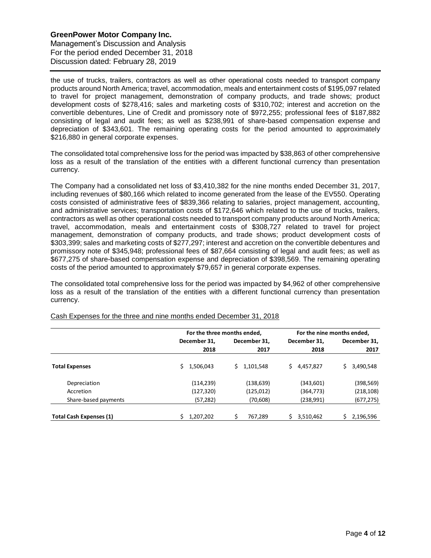the use of trucks, trailers, contractors as well as other operational costs needed to transport company products around North America; travel, accommodation, meals and entertainment costs of \$195,097 related to travel for project management, demonstration of company products, and trade shows; product development costs of \$278,416; sales and marketing costs of \$310,702; interest and accretion on the convertible debentures, Line of Credit and promissory note of \$972,255; professional fees of \$187,882 consisting of legal and audit fees; as well as \$238,991 of share-based compensation expense and depreciation of \$343,601. The remaining operating costs for the period amounted to approximately \$216,880 in general corporate expenses.

The consolidated total comprehensive loss for the period was impacted by \$38,863 of other comprehensive loss as a result of the translation of the entities with a different functional currency than presentation currency.

The Company had a consolidated net loss of \$3,410,382 for the nine months ended December 31, 2017, including revenues of \$80,166 which related to income generated from the lease of the EV550. Operating costs consisted of administrative fees of \$839,366 relating to salaries, project management, accounting, and administrative services; transportation costs of \$172,646 which related to the use of trucks, trailers, contractors as well as other operational costs needed to transport company products around North America; travel, accommodation, meals and entertainment costs of \$308,727 related to travel for project management, demonstration of company products, and trade shows; product development costs of \$303,399; sales and marketing costs of \$277,297; interest and accretion on the convertible debentures and promissory note of \$345,948; professional fees of \$87,664 consisting of legal and audit fees; as well as \$677,275 of share-based compensation expense and depreciation of \$398,569. The remaining operating costs of the period amounted to approximately \$79,657 in general corporate expenses.

The consolidated total comprehensive loss for the period was impacted by \$4,962 of other comprehensive loss as a result of the translation of the entities with a different functional currency than presentation currency.

|                                |              | For the three months ended, | For the nine months ended, |                 |  |  |
|--------------------------------|--------------|-----------------------------|----------------------------|-----------------|--|--|
|                                | December 31, | December 31.                | December 31.               | December 31,    |  |  |
|                                | 2018         | 2017                        | 2018                       | 2017            |  |  |
| <b>Total Expenses</b>          | 1,506,043    | 1,101,548                   | Ś<br>4,457,827             | 3,490,548<br>S. |  |  |
| Depreciation                   | (114, 239)   | (138, 639)                  | (343,601)                  | (398, 569)      |  |  |
| Accretion                      | (127,320)    | (125,012)                   | (364, 773)                 | (218, 108)      |  |  |
| Share-based payments           | (57, 282)    | (70,608)                    | (238,991)                  | (677, 275)      |  |  |
| <b>Total Cash Expenses (1)</b> | 1,207,202    | Ś<br>767.289                | S<br>3,510,462             | 2,196,596       |  |  |

Cash Expenses for the three and nine months ended December 31, 2018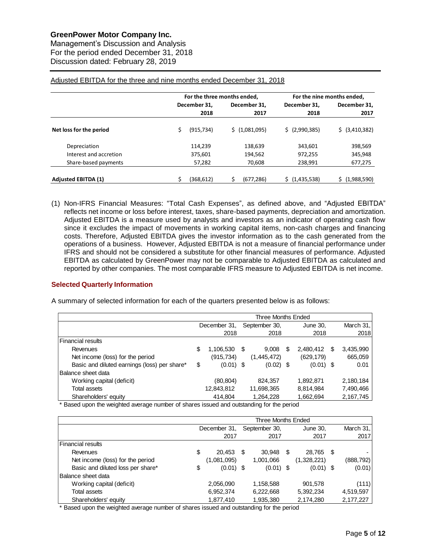Management's Discussion and Analysis For the period ended December 31, 2018 Discussion dated: February 28, 2019

|                            |                 | For the three months ended,     | For the nine months ended, |                |  |  |
|----------------------------|-----------------|---------------------------------|----------------------------|----------------|--|--|
|                            | December 31,    | December 31.                    | December 31.               | December 31.   |  |  |
|                            | 2018            | 2017                            | 2018                       | 2017           |  |  |
| Net loss for the period    | Ś<br>(915, 734) | \$(1,081,095)<br>\$ (2,990,385) |                            | \$ (3,410,382) |  |  |
| Depreciation               | 114,239         | 138,639                         | 343.601                    | 398,569        |  |  |
| Interest and accretion     | 375,601         | 194,562                         | 972,255                    | 345,948        |  |  |
| Share-based payments       | 57,282          | 70.608                          | 238,991                    | 677,275        |  |  |
| <b>Adjusted EBITDA (1)</b> | (368,612)       | (677, 286)                      | (1,435,538)                | (1,988,590)    |  |  |

### Adjusted EBITDA for the three and nine months ended December 31, 2018

(1) Non-IFRS Financial Measures: "Total Cash Expenses", as defined above, and "Adjusted EBITDA" reflects net income or loss before interest, taxes, share-based payments, depreciation and amortization. Adjusted EBITDA is a measure used by analysts and investors as an indicator of operating cash flow since it excludes the impact of movements in working capital items, non-cash charges and financing costs. Therefore, Adjusted EBITDA gives the investor information as to the cash generated from the operations of a business. However, Adjusted EBITDA is not a measure of financial performance under IFRS and should not be considered a substitute for other financial measures of performance. Adjusted EBITDA as calculated by GreenPower may not be comparable to Adjusted EBITDA as calculated and reported by other companies. The most comparable IFRS measure to Adjusted EBITDA is net income.

# **Selected Quarterly Information**

A summary of selected information for each of the quarters presented below is as follows:

|                                              | Three Months Ended |              |      |               |   |             |   |           |
|----------------------------------------------|--------------------|--------------|------|---------------|---|-------------|---|-----------|
|                                              |                    | December 31, |      | September 30, |   | June 30,    |   | March 31, |
|                                              |                    | 2018         |      | 2018          |   | 2018        |   | 2018      |
| Financial results                            |                    |              |      |               |   |             |   |           |
| Revenues                                     | \$                 | 1,106,530    | - \$ | 9.008         | S | 2,480,412   | S | 3,435,990 |
| Net income (loss) for the period             |                    | (915,734)    |      | (1,445,472)   |   | (629, 179)  |   | 665,059   |
| Basic and diluted earnings (loss) per share* | \$                 | $(0.01)$ \$  |      | $(0.02)$ \$   |   | $(0.01)$ \$ |   | 0.01      |
| <b>Balance sheet data</b>                    |                    |              |      |               |   |             |   |           |
| Working capital (deficit)                    |                    | (80,804)     |      | 824,357       |   | 1,892,871   |   | 2,180,184 |
| Total assets                                 |                    | 12,843,812   |      | 11,698,365    |   | 8,814,984   |   | 7,490,466 |
| Shareholders' equity                         |                    | 414.804      |      | 1,264,228     |   | 1,662,694   |   | 2,167,745 |

\* Based upon the weighted average number of shares issued and outstanding for the period

|                                   | Three Months Ended |              |     |               |     |             |      |            |
|-----------------------------------|--------------------|--------------|-----|---------------|-----|-------------|------|------------|
|                                   |                    | December 31, |     | September 30, |     | June 30,    |      | March 31,  |
|                                   |                    | 2017         |     | 2017          |     | 2017        |      | 2017       |
| Financial results                 |                    |              |     |               |     |             |      |            |
| Revenues                          | \$                 | 20,453       | \$. | 30,948        | \$. | 28,765      | - \$ |            |
| Net income (loss) for the period  |                    | (1,081,095)  |     | 1,001,066     |     | (1,328,221) |      | (888, 792) |
| Basic and diluted loss per share* | \$                 | $(0.01)$ \$  |     | $(0.01)$ \$   |     | $(0.01)$ \$ |      | (0.01)     |
| <b>Balance sheet data</b>         |                    |              |     |               |     |             |      |            |
| Working capital (deficit)         |                    | 2,056,090    |     | 1,158,588     |     | 901,578     |      | (111)      |
| Total assets                      |                    | 6,952,374    |     | 6,222,668     |     | 5,392,234   |      | 4,519,597  |
| Shareholders' equity              |                    | 1,877,410    |     | 1,935,380     |     | 2,174,280   |      | 2,177,227  |

\* Based upon the weighted average number of shares issued and outstanding for the period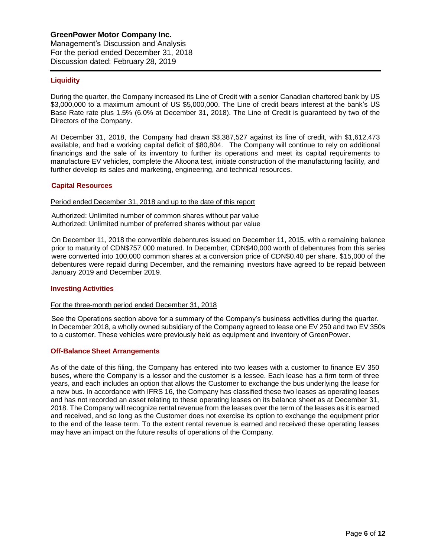# **Liquidity**

During the quarter, the Company increased its Line of Credit with a senior Canadian chartered bank by US \$3,000,000 to a maximum amount of US \$5,000,000. The Line of credit bears interest at the bank's US Base Rate rate plus 1.5% (6.0% at December 31, 2018). The Line of Credit is guaranteed by two of the Directors of the Company.

At December 31, 2018, the Company had drawn \$3,387,527 against its line of credit, with \$1,612,473 available, and had a working capital deficit of \$80,804. The Company will continue to rely on additional financings and the sale of its inventory to further its operations and meet its capital requirements to manufacture EV vehicles, complete the Altoona test, initiate construction of the manufacturing facility, and further develop its sales and marketing, engineering, and technical resources.

#### **Capital Resources**

Period ended December 31, 2018 and up to the date of this report

Authorized: Unlimited number of common shares without par value Authorized: Unlimited number of preferred shares without par value

On December 11, 2018 the convertible debentures issued on December 11, 2015, with a remaining balance prior to maturity of CDN\$757,000 matured. In December, CDN\$40,000 worth of debentures from this series were converted into 100,000 common shares at a conversion price of CDN\$0.40 per share. \$15,000 of the debentures were repaid during December, and the remaining investors have agreed to be repaid between January 2019 and December 2019.

#### **Investing Activities**

#### For the three-month period ended December 31, 2018

See the Operations section above for a summary of the Company's business activities during the quarter. In December 2018, a wholly owned subsidiary of the Company agreed to lease one EV 250 and two EV 350s to a customer. These vehicles were previously held as equipment and inventory of GreenPower.

# **Off-Balance Sheet Arrangements**

As of the date of this filing, the Company has entered into two leases with a customer to finance EV 350 buses, where the Company is a lessor and the customer is a lessee. Each lease has a firm term of three years, and each includes an option that allows the Customer to exchange the bus underlying the lease for a new bus. In accordance with IFRS 16, the Company has classified these two leases as operating leases and has not recorded an asset relating to these operating leases on its balance sheet as at December 31, 2018. The Company will recognize rental revenue from the leases over the term of the leases as it is earned and received, and so long as the Customer does not exercise its option to exchange the equipment prior to the end of the lease term. To the extent rental revenue is earned and received these operating leases may have an impact on the future results of operations of the Company.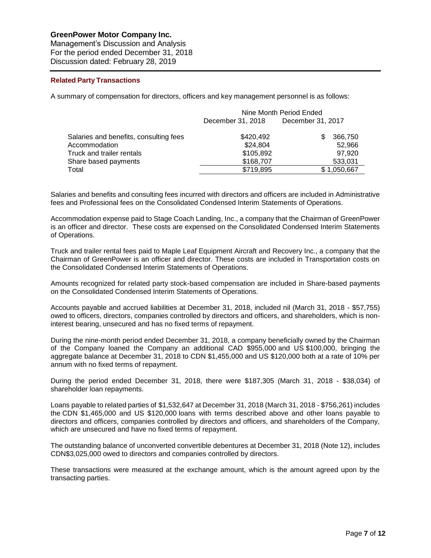Management's Discussion and Analysis For the period ended December 31, 2018 Discussion dated: February 28, 2019

### **Related Party Transactions**

A summary of compensation for directors, officers and key management personnel is as follows:

|                                        | Nine Month Period Ended |                   |  |  |  |  |
|----------------------------------------|-------------------------|-------------------|--|--|--|--|
|                                        | December 31, 2018       | December 31, 2017 |  |  |  |  |
| Salaries and benefits, consulting fees | \$420,492               | 366,750           |  |  |  |  |
| Accommodation                          | \$24,804                | 52.966            |  |  |  |  |
| Truck and trailer rentals              | \$105,892               | 97.920            |  |  |  |  |
| Share based payments                   | \$168,707               | 533,031           |  |  |  |  |
| Total                                  | \$719,895               | \$1,050,667       |  |  |  |  |

Salaries and benefits and consulting fees incurred with directors and officers are included in Administrative fees and Professional fees on the Consolidated Condensed Interim Statements of Operations.

Accommodation expense paid to Stage Coach Landing, Inc., a company that the Chairman of GreenPower is an officer and director. These costs are expensed on the Consolidated Condensed Interim Statements of Operations.

Truck and trailer rental fees paid to Maple Leaf Equipment Aircraft and Recovery Inc., a company that the Chairman of GreenPower is an officer and director. These costs are included in Transportation costs on the Consolidated Condensed Interim Statements of Operations.

Amounts recognized for related party stock-based compensation are included in Share-based payments on the Consolidated Condensed Interim Statements of Operations.

Accounts payable and accrued liabilities at December 31, 2018, included nil (March 31, 2018 - \$57,755) owed to officers, directors, companies controlled by directors and officers, and shareholders, which is noninterest bearing, unsecured and has no fixed terms of repayment.

During the nine-month period ended December 31, 2018, a company beneficially owned by the Chairman of the Company loaned the Company an additional CAD \$955,000 and US \$100,000, bringing the aggregate balance at December 31, 2018 to CDN \$1,455,000 and US \$120,000 both at a rate of 10% per annum with no fixed terms of repayment.

During the period ended December 31, 2018, there were \$187,305 (March 31, 2018 - \$38,034) of shareholder loan repayments.

Loans payable to related parties of \$1,532,647 at December 31, 2018 (March 31, 2018 - \$756,261) includes the CDN \$1,465,000 and US \$120,000 loans with terms described above and other loans payable to directors and officers, companies controlled by directors and officers, and shareholders of the Company, which are unsecured and have no fixed terms of repayment.

The outstanding balance of unconverted convertible debentures at December 31, 2018 (Note 12), includes CDN\$3,025,000 owed to directors and companies controlled by directors.

These transactions were measured at the exchange amount, which is the amount agreed upon by the transacting parties.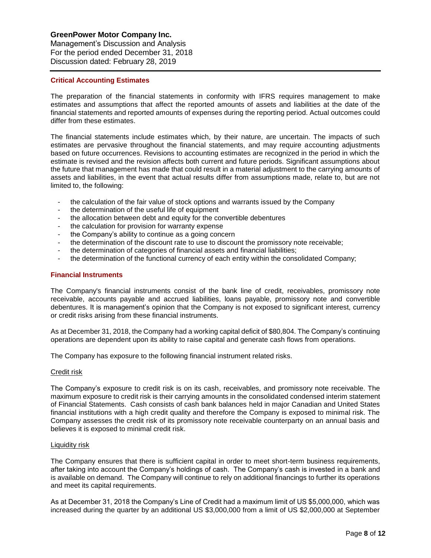Management's Discussion and Analysis For the period ended December 31, 2018 Discussion dated: February 28, 2019

### **Critical Accounting Estimates**

The preparation of the financial statements in conformity with IFRS requires management to make estimates and assumptions that affect the reported amounts of assets and liabilities at the date of the financial statements and reported amounts of expenses during the reporting period. Actual outcomes could differ from these estimates.

The financial statements include estimates which, by their nature, are uncertain. The impacts of such estimates are pervasive throughout the financial statements, and may require accounting adjustments based on future occurrences. Revisions to accounting estimates are recognized in the period in which the estimate is revised and the revision affects both current and future periods. Significant assumptions about the future that management has made that could result in a material adjustment to the carrying amounts of assets and liabilities, in the event that actual results differ from assumptions made, relate to, but are not limited to, the following:

- the calculation of the fair value of stock options and warrants issued by the Company
- the determination of the useful life of equipment
- the allocation between debt and equity for the convertible debentures
- the calculation for provision for warranty expense
- the Company's ability to continue as a going concern
- the determination of the discount rate to use to discount the promissory note receivable;
- the determination of categories of financial assets and financial liabilities;
- the determination of the functional currency of each entity within the consolidated Company;

# **Financial Instruments**

The Company's financial instruments consist of the bank line of credit, receivables, promissory note receivable, accounts payable and accrued liabilities, loans payable, promissory note and convertible debentures. It is management's opinion that the Company is not exposed to significant interest, currency or credit risks arising from these financial instruments.

As at December 31, 2018, the Company had a working capital deficit of \$80,804. The Company's continuing operations are dependent upon its ability to raise capital and generate cash flows from operations.

The Company has exposure to the following financial instrument related risks.

# Credit risk

The Company's exposure to credit risk is on its cash, receivables, and promissory note receivable. The maximum exposure to credit risk is their carrying amounts in the consolidated condensed interim statement of Financial Statements. Cash consists of cash bank balances held in major Canadian and United States financial institutions with a high credit quality and therefore the Company is exposed to minimal risk. The Company assesses the credit risk of its promissory note receivable counterparty on an annual basis and believes it is exposed to minimal credit risk.

# Liquidity risk

The Company ensures that there is sufficient capital in order to meet short-term business requirements, after taking into account the Company's holdings of cash. The Company's cash is invested in a bank and is available on demand. The Company will continue to rely on additional financings to further its operations and meet its capital requirements.

As at December 31, 2018 the Company's Line of Credit had a maximum limit of US \$5,000,000, which was increased during the quarter by an additional US \$3,000,000 from a limit of US \$2,000,000 at September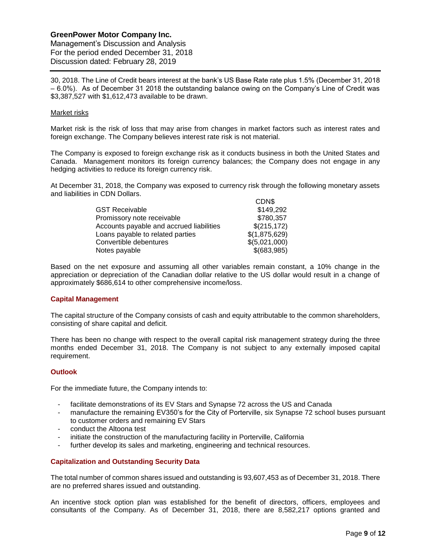Management's Discussion and Analysis For the period ended December 31, 2018 Discussion dated: February 28, 2019

30, 2018. The Line of Credit bears interest at the bank's US Base Rate rate plus 1.5% (December 31, 2018 – 6.0%). As of December 31 2018 the outstanding balance owing on the Company's Line of Credit was \$3,387,527 with \$1,612,473 available to be drawn.

### Market risks

Market risk is the risk of loss that may arise from changes in market factors such as interest rates and foreign exchange. The Company believes interest rate risk is not material.

The Company is exposed to foreign exchange risk as it conducts business in both the United States and Canada. Management monitors its foreign currency balances; the Company does not engage in any hedging activities to reduce its foreign currency risk.

At December 31, 2018, the Company was exposed to currency risk through the following monetary assets and liabilities in CDN Dollars.  $CDN$ 

|                                          | <b>UDN</b>    |
|------------------------------------------|---------------|
| <b>GST Receivable</b>                    | \$149,292     |
| Promissory note receivable               | \$780,357     |
| Accounts payable and accrued liabilities | \$(215, 172)  |
| Loans payable to related parties         | \$(1,875,629) |
| Convertible debentures                   | \$(5,021,000) |
| Notes payable                            | \$(683,985)   |

Based on the net exposure and assuming all other variables remain constant, a 10% change in the appreciation or depreciation of the Canadian dollar relative to the US dollar would result in a change of approximately \$686,614 to other comprehensive income/loss.

# **Capital Management**

The capital structure of the Company consists of cash and equity attributable to the common shareholders, consisting of share capital and deficit.

There has been no change with respect to the overall capital risk management strategy during the three months ended December 31, 2018. The Company is not subject to any externally imposed capital requirement.

#### **Outlook**

For the immediate future, the Company intends to:

- facilitate demonstrations of its EV Stars and Synapse 72 across the US and Canada
- manufacture the remaining EV350's for the City of Porterville, six Synapse 72 school buses pursuant to customer orders and remaining EV Stars
- conduct the Altoona test
- initiate the construction of the manufacturing facility in Porterville, California
- further develop its sales and marketing, engineering and technical resources.

# **Capitalization and Outstanding Security Data**

The total number of common shares issued and outstanding is 93,607,453 as of December 31, 2018. There are no preferred shares issued and outstanding.

An incentive stock option plan was established for the benefit of directors, officers, employees and consultants of the Company. As of December 31, 2018, there are 8,582,217 options granted and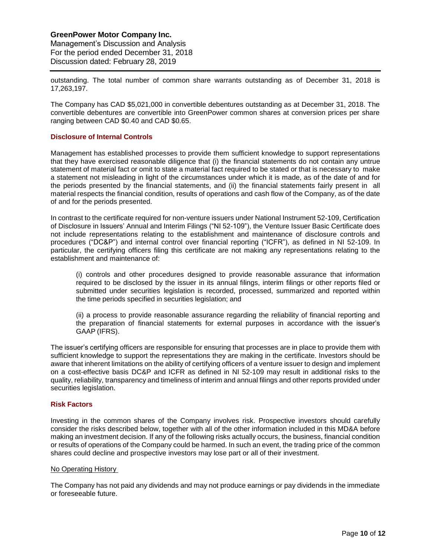Management's Discussion and Analysis For the period ended December 31, 2018 Discussion dated: February 28, 2019

outstanding. The total number of common share warrants outstanding as of December 31, 2018 is 17,263,197.

The Company has CAD \$5,021,000 in convertible debentures outstanding as at December 31, 2018. The convertible debentures are convertible into GreenPower common shares at conversion prices per share ranging between CAD \$0.40 and CAD \$0.65.

### **Disclosure of Internal Controls**

Management has established processes to provide them sufficient knowledge to support representations that they have exercised reasonable diligence that (i) the financial statements do not contain any untrue statement of material fact or omit to state a material fact required to be stated or that is necessary to make a statement not misleading in light of the circumstances under which it is made, as of the date of and for the periods presented by the financial statements, and (ii) the financial statements fairly present in all material respects the financial condition, results of operations and cash flow of the Company, as of the date of and for the periods presented.

In contrast to the certificate required for non-venture issuers under National Instrument 52-109, Certification of Disclosure in Issuers' Annual and Interim Filings ("NI 52-109"), the Venture Issuer Basic Certificate does not include representations relating to the establishment and maintenance of disclosure controls and procedures ("DC&P") and internal control over financial reporting ("ICFR"), as defined in NI 52-109. In particular, the certifying officers filing this certificate are not making any representations relating to the establishment and maintenance of:

(i) controls and other procedures designed to provide reasonable assurance that information required to be disclosed by the issuer in its annual filings, interim filings or other reports filed or submitted under securities legislation is recorded, processed, summarized and reported within the time periods specified in securities legislation; and

(ii) a process to provide reasonable assurance regarding the reliability of financial reporting and the preparation of financial statements for external purposes in accordance with the issuer's GAAP (IFRS).

The issuer's certifying officers are responsible for ensuring that processes are in place to provide them with sufficient knowledge to support the representations they are making in the certificate. Investors should be aware that inherent limitations on the ability of certifying officers of a venture issuer to design and implement on a cost-effective basis DC&P and ICFR as defined in NI 52-109 may result in additional risks to the quality, reliability, transparency and timeliness of interim and annual filings and other reports provided under securities legislation.

### **Risk Factors**

Investing in the common shares of the Company involves risk. Prospective investors should carefully consider the risks described below, together with all of the other information included in this MD&A before making an investment decision. If any of the following risks actually occurs, the business, financial condition or results of operations of the Company could be harmed. In such an event, the trading price of the common shares could decline and prospective investors may lose part or all of their investment.

#### No Operating History

The Company has not paid any dividends and may not produce earnings or pay dividends in the immediate or foreseeable future.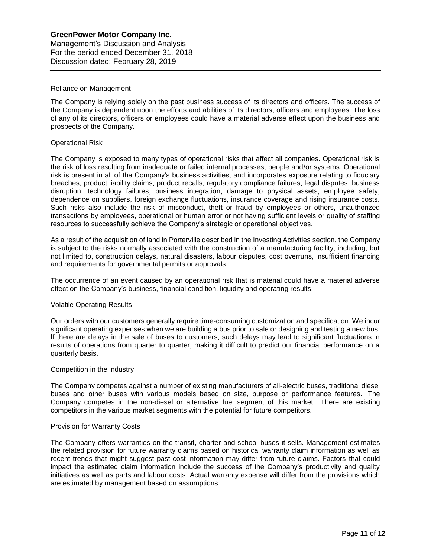### Reliance on Management

The Company is relying solely on the past business success of its directors and officers. The success of the Company is dependent upon the efforts and abilities of its directors, officers and employees. The loss of any of its directors, officers or employees could have a material adverse effect upon the business and prospects of the Company.

### Operational Risk

The Company is exposed to many types of operational risks that affect all companies. Operational risk is the risk of loss resulting from inadequate or failed internal processes, people and/or systems. Operational risk is present in all of the Company's business activities, and incorporates exposure relating to fiduciary breaches, product liability claims, product recalls, regulatory compliance failures, legal disputes, business disruption, technology failures, business integration, damage to physical assets, employee safety, dependence on suppliers, foreign exchange fluctuations, insurance coverage and rising insurance costs. Such risks also include the risk of misconduct, theft or fraud by employees or others, unauthorized transactions by employees, operational or human error or not having sufficient levels or quality of staffing resources to successfully achieve the Company's strategic or operational objectives.

As a result of the acquisition of land in Porterville described in the Investing Activities section, the Company is subject to the risks normally associated with the construction of a manufacturing facility, including, but not limited to, construction delays, natural disasters, labour disputes, cost overruns, insufficient financing and requirements for governmental permits or approvals.

The occurrence of an event caused by an operational risk that is material could have a material adverse effect on the Company's business, financial condition, liquidity and operating results.

#### Volatile Operating Results

Our orders with our customers generally require time-consuming customization and specification. We incur significant operating expenses when we are building a bus prior to sale or designing and testing a new bus. If there are delays in the sale of buses to customers, such delays may lead to significant fluctuations in results of operations from quarter to quarter, making it difficult to predict our financial performance on a quarterly basis.

### Competition in the industry

The Company competes against a number of existing manufacturers of all-electric buses, traditional diesel buses and other buses with various models based on size, purpose or performance features. The Company competes in the non-diesel or alternative fuel segment of this market. There are existing competitors in the various market segments with the potential for future competitors.

#### Provision for Warranty Costs

The Company offers warranties on the transit, charter and school buses it sells. Management estimates the related provision for future warranty claims based on historical warranty claim information as well as recent trends that might suggest past cost information may differ from future claims. Factors that could impact the estimated claim information include the success of the Company's productivity and quality initiatives as well as parts and labour costs. Actual warranty expense will differ from the provisions which are estimated by management based on assumptions